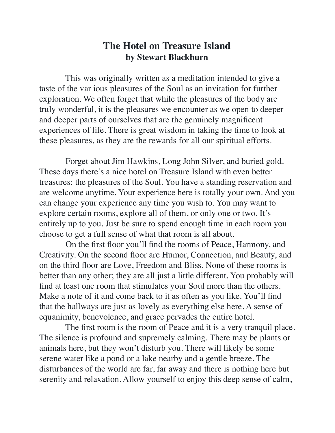## **The Hotel on Treasure Island by Stewart Blackburn**

 This was originally written as a meditation intended to give a taste of the var ious pleasures of the Soul as an invitation for further exploration. We often forget that while the pleasures of the body are truly wonderful, it is the pleasures we encounter as we open to deeper and deeper parts of ourselves that are the genuinely magnificent experiences of life. There is great wisdom in taking the time to look at these pleasures, as they are the rewards for all our spiritual efforts.

 Forget about Jim Hawkins, Long John Silver, and buried gold. These days there's a nice hotel on Treasure Island with even better treasures: the pleasures of the Soul. You have a standing reservation and are welcome anytime. Your experience here is totally your own. And you can change your experience any time you wish to. You may want to explore certain rooms, explore all of them, or only one or two. It's entirely up to you. Just be sure to spend enough time in each room you choose to get a full sense of what that room is all about.

 On the first floor you'll find the rooms of Peace, Harmony, and Creativity. On the second floor are Humor, Connection, and Beauty, and on the third floor are Love, Freedom and Bliss. None of these rooms is better than any other; they are all just a little different. You probably will find at least one room that stimulates your Soul more than the others. Make a note of it and come back to it as often as you like. You'll find that the hallways are just as lovely as everything else here. A sense of equanimity, benevolence, and grace pervades the entire hotel.

 The first room is the room of Peace and it is a very tranquil place. The silence is profound and supremely calming. There may be plants or animals here, but they won't disturb you. There will likely be some serene water like a pond or a lake nearby and a gentle breeze. The disturbances of the world are far, far away and there is nothing here but serenity and relaxation. Allow yourself to enjoy this deep sense of calm,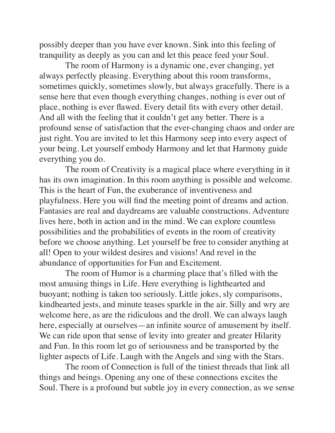possibly deeper than you have ever known. Sink into this feeling of tranquility as deeply as you can and let this peace feed your Soul.

 The room of Harmony is a dynamic one, ever changing, yet always perfectly pleasing. Everything about this room transforms, sometimes quickly, sometimes slowly, but always gracefully. There is a sense here that even though everything changes, nothing is ever out of place, nothing is ever flawed. Every detail fits with every other detail. And all with the feeling that it couldn't get any better. There is a profound sense of satisfaction that the ever-changing chaos and order are just right. You are invited to let this Harmony seep into every aspect of your being. Let yourself embody Harmony and let that Harmony guide everything you do.

 The room of Creativity is a magical place where everything in it has its own imagination. In this room anything is possible and welcome. This is the heart of Fun, the exuberance of inventiveness and playfulness. Here you will find the meeting point of dreams and action. Fantasies are real and daydreams are valuable constructions. Adventure lives here, both in action and in the mind. We can explore countless possibilities and the probabilities of events in the room of creativity before we choose anything. Let yourself be free to consider anything at all! Open to your wildest desires and visions! And revel in the abundance of opportunities for Fun and Excitement.

 The room of Humor is a charming place that's filled with the most amusing things in Life. Here everything is lighthearted and buoyant; nothing is taken too seriously. Little jokes, sly comparisons, kindhearted jests, and minute teases sparkle in the air. Silly and wry are welcome here, as are the ridiculous and the droll. We can always laugh here, especially at ourselves—an infinite source of amusement by itself. We can ride upon that sense of levity into greater and greater Hilarity and Fun. In this room let go of seriousness and be transported by the lighter aspects of Life. Laugh with the Angels and sing with the Stars.

 The room of Connection is full of the tiniest threads that link all things and beings. Opening any one of these connections excites the Soul. There is a profound but subtle joy in every connection, as we sense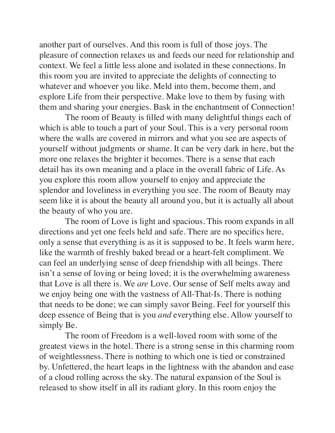another part of ourselves. And this room is full of those joys. The pleasure of connection relaxes us and feeds our need for relationship and context. We feel a little less alone and isolated in these connections. In this room you are invited to appreciate the delights of connecting to whatever and whoever you like. Meld into them, become them, and explore Life from their perspective. Make love to them by fusing with them and sharing your energies. Bask in the enchantment of Connection!

 The room of Beauty is filled with many delightful things each of which is able to touch a part of your Soul. This is a very personal room where the walls are covered in mirrors and what you see are aspects of yourself without judgments or shame. It can be very dark in here, but the more one relaxes the brighter it becomes. There is a sense that each detail has its own meaning and a place in the overall fabric of Life. As you explore this room allow yourself to enjoy and appreciate the splendor and loveliness in everything you see. The room of Beauty may seem like it is about the beauty all around you, but it is actually all about the beauty of who you are.

 The room of Love is light and spacious. This room expands in all directions and yet one feels held and safe. There are no specifics here, only a sense that everything is as it is supposed to be. It feels warm here, like the warmth of freshly baked bread or a heart-felt compliment. We can feel an underlying sense of deep friendship with all beings. There isn't a sense of loving or being loved; it is the overwhelming awareness that Love is all there is. We *are* Love. Our sense of Self melts away and we enjoy being one with the vastness of All-That-Is. There is nothing that needs to be done; we can simply savor Being. Feel for yourself this deep essence of Being that is you *and* everything else. Allow yourself to simply Be.

 The room of Freedom is a well-loved room with some of the greatest views in the hotel. There is a strong sense in this charming room of weightlessness. There is nothing to which one is tied or constrained by. Unfettered, the heart leaps in the lightness with the abandon and ease of a cloud rolling across the sky. The natural expansion of the Soul is released to show itself in all its radiant glory. In this room enjoy the